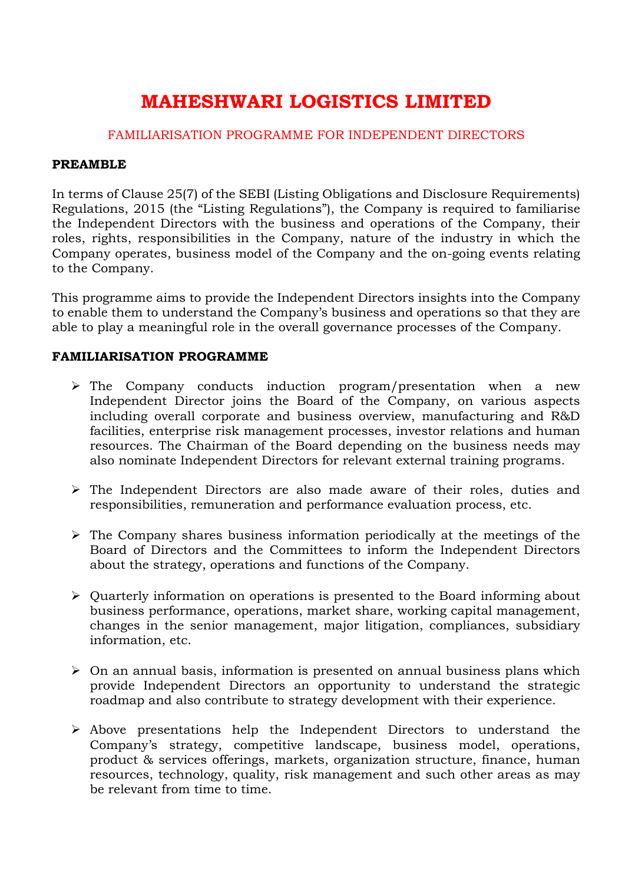# **MAHESHWARI LOGISTICS LIMITED**

# FAMILIARISATION PROGRAMME FOR INDEPENDENT DIRECTORS

#### **PREAMBLE**

In terms of Clause 25(7) of the SEBI (Listing Obligations and Disclosure Requirements) Regulations, 2015 (the "Listing Regulations"), the Company is required to familiarise the Independent Directors with the business and operations of the Company, their roles, rights, responsibilities in the Company, nature of the industry in which the Company operates, business model of the Company and the on-going events relating to the Company.

This programme aims to provide the Independent Directors insights into the Company to enable them to understand the Company's business and operations so that they are able to play a meaningful role in the overall governance processes of the Company.

## **FAMILIARISATION PROGRAMME**

- $\triangleright$  The Company conducts induction program/presentation when a new Independent Director joins the Board of the Company, on various aspects including overall corporate and business overview, manufacturing and R&D facilities, enterprise risk management processes, investor relations and human resources. The Chairman of the Board depending on the business needs may also nominate Independent Directors for relevant external training programs.
- $\triangleright$  The Independent Directors are also made aware of their roles, duties and responsibilities, remuneration and performance evaluation process, etc.
- $\triangleright$  The Company shares business information periodically at the meetings of the Board of Directors and the Committees to inform the Independent Directors about the strategy, operations and functions of the Company.
- Quarterly information on operations is presented to the Board informing about business performance, operations, market share, working capital management, changes in the senior management, major litigation, compliances, subsidiary information, etc.
- $\triangleright$  On an annual basis, information is presented on annual business plans which provide Independent Directors an opportunity to understand the strategic roadmap and also contribute to strategy development with their experience.
- $\triangleright$  Above presentations help the Independent Directors to understand the Company's strategy, competitive landscape, business model, operations, product & services offerings, markets, organization structure, finance, human resources, technology, quality, risk management and such other areas as may be relevant from time to time.